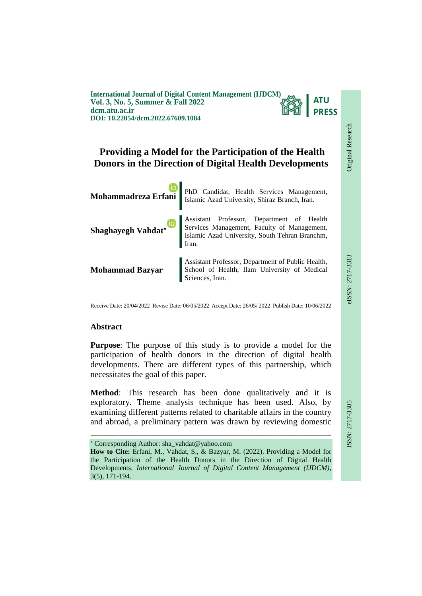**International Journal of Digital Content Management (IJDCM) Vol. 3, No. 5, Summer & Fall 2022 dcm.atu.ac.ir DOI: 10.22054/dcm.2022.67609.1084**



Original Research

**Original Research** 

# **Providing a Model for the Participation of the Health Donors in the Direction of Digital Health Developments**



Receive Date: 20/04/2022 Revise Date: 06/05/2022 Accept Date: 26/05/ 2022 Publish Date: 10/06/2022

#### **Abstract**

**Purpose**: The purpose of this study is to provide a model for the participation of health donors in the direction of digital health developments. There are different types of this partnership, which necessitates the goal of this paper.

**Method**: This research has been done qualitatively and it is exploratory. Theme analysis technique has been used. Also, by examining different patterns related to charitable affairs in the country and abroad, a preliminary pattern was drawn by reviewing domestic

ـــــــــــــــــــــــــــــــــــــــــــــــــــــــــــــــــــــــــــــــــــــــــــــــــــــــــــــــــــــــــــــ

Corresponding Author: sha\_vahdat@yahoo.com

**How to Cite:** Erfani, M., Vahdat, S., & Bazyar, M. (2022). Providing a Model for the Participation of the Health Donors in the Direction of Digital Health Developments. *International Journal of Digital Content Management (IJDCM)*, 3(5), 171-194.

ISSN: 2717-3305 eISSN: 2717-3313 SSN: 2717-3305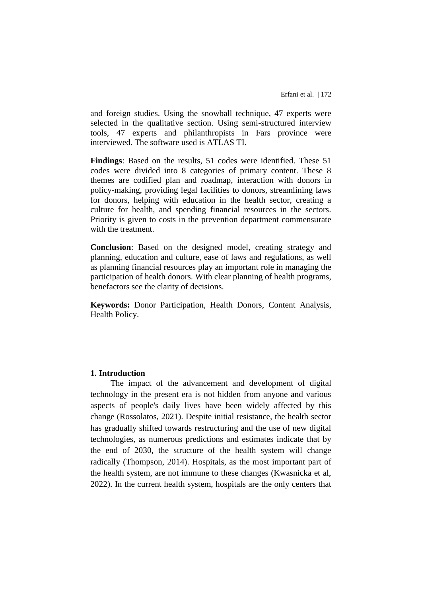and foreign studies. Using the snowball technique, 47 experts were selected in the qualitative section. Using semi-structured interview tools, 47 experts and philanthropists in Fars province were interviewed. The software used is ATLAS TI.

**Findings**: Based on the results, 51 codes were identified. These 51 codes were divided into 8 categories of primary content. These 8 themes are codified plan and roadmap, interaction with donors in policy-making, providing legal facilities to donors, streamlining laws for donors, helping with education in the health sector, creating a culture for health, and spending financial resources in the sectors. Priority is given to costs in the prevention department commensurate with the treatment.

**Conclusion**: Based on the designed model, creating strategy and planning, education and culture, ease of laws and regulations, as well as planning financial resources play an important role in managing the participation of health donors. With clear planning of health programs, benefactors see the clarity of decisions.

**Keywords:** Donor Participation, Health Donors, Content Analysis, Health Policy.

#### **1. Introduction**

The impact of the advancement and development of digital technology in the present era is not hidden from anyone and various aspects of people's daily lives have been widely affected by this change (Rossolatos, 2021). Despite initial resistance, the health sector has gradually shifted towards restructuring and the use of new digital technologies, as numerous predictions and estimates indicate that by the end of 2030, the structure of the health system will change radically (Thompson, 2014). Hospitals, as the most important part of the health system, are not immune to these changes (Kwasnicka et al, 2022). In the current health system, hospitals are the only centers that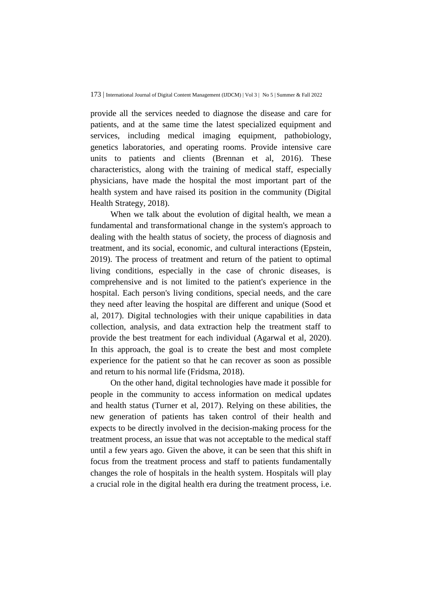provide all the services needed to diagnose the disease and care for patients, and at the same time the latest specialized equipment and services, including medical imaging equipment, pathobiology, genetics laboratories, and operating rooms. Provide intensive care units to patients and clients (Brennan et al, 2016). These characteristics, along with the training of medical staff, especially physicians, have made the hospital the most important part of the health system and have raised its position in the community (Digital Health Strategy, 2018).

When we talk about the evolution of digital health, we mean a fundamental and transformational change in the system's approach to dealing with the health status of society, the process of diagnosis and treatment, and its social, economic, and cultural interactions (Epstein, 2019). The process of treatment and return of the patient to optimal living conditions, especially in the case of chronic diseases, is comprehensive and is not limited to the patient's experience in the hospital. Each person's living conditions, special needs, and the care they need after leaving the hospital are different and unique (Sood et al, 2017). Digital technologies with their unique capabilities in data collection, analysis, and data extraction help the treatment staff to provide the best treatment for each individual (Agarwal et al, 2020). In this approach, the goal is to create the best and most complete experience for the patient so that he can recover as soon as possible and return to his normal life (Fridsma, 2018).

On the other hand, digital technologies have made it possible for people in the community to access information on medical updates and health status (Turner et al, 2017). Relying on these abilities, the new generation of patients has taken control of their health and expects to be directly involved in the decision-making process for the treatment process, an issue that was not acceptable to the medical staff until a few years ago. Given the above, it can be seen that this shift in focus from the treatment process and staff to patients fundamentally changes the role of hospitals in the health system. Hospitals will play a crucial role in the digital health era during the treatment process, i.e.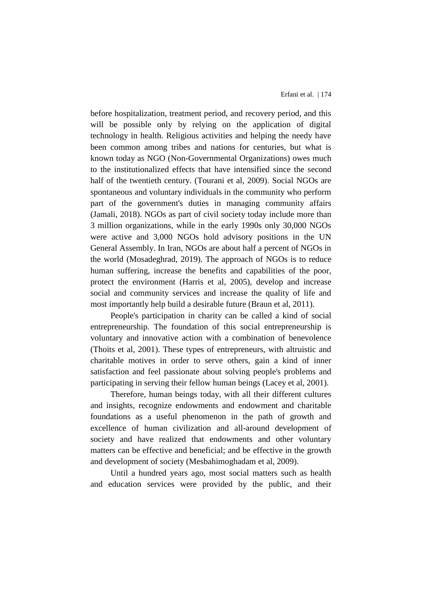before hospitalization, treatment period, and recovery period, and this will be possible only by relying on the application of digital technology in health. Religious activities and helping the needy have been common among tribes and nations for centuries, but what is known today as NGO (Non-Governmental Organizations) owes much to the institutionalized effects that have intensified since the second half of the twentieth century. (Tourani et al, 2009). Social NGOs are spontaneous and voluntary individuals in the community who perform part of the government's duties in managing community affairs (Jamali, 2018). NGOs as part of civil society today include more than 3 million organizations, while in the early 1990s only 30,000 NGOs were active and 3,000 NGOs hold advisory positions in the UN General Assembly. In Iran, NGOs are about half a percent of NGOs in the world (Mosadeghrad, 2019). The approach of NGOs is to reduce human suffering, increase the benefits and capabilities of the poor, protect the environment (Harris et al, 2005), develop and increase social and community services and increase the quality of life and most importantly help build a desirable future (Braun et al, 2011).

People's participation in charity can be called a kind of social entrepreneurship. The foundation of this social entrepreneurship is voluntary and innovative action with a combination of benevolence (Thoits et al, 2001). These types of entrepreneurs, with altruistic and charitable motives in order to serve others, gain a kind of inner satisfaction and feel passionate about solving people's problems and participating in serving their fellow human beings (Lacey et al, 2001).

Therefore, human beings today, with all their different cultures and insights, recognize endowments and endowment and charitable foundations as a useful phenomenon in the path of growth and excellence of human civilization and all-around development of society and have realized that endowments and other voluntary matters can be effective and beneficial; and be effective in the growth and development of society (Mesbahimoghadam et al, 2009).

Until a hundred years ago, most social matters such as health and education services were provided by the public, and their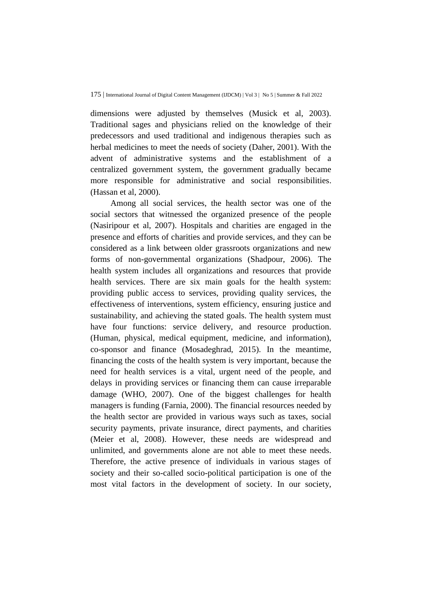dimensions were adjusted by themselves (Musick et al, 2003). Traditional sages and physicians relied on the knowledge of their predecessors and used traditional and indigenous therapies such as herbal medicines to meet the needs of society (Daher, 2001). With the advent of administrative systems and the establishment of a centralized government system, the government gradually became more responsible for administrative and social responsibilities. (Hassan et al, 2000).

Among all social services, the health sector was one of the social sectors that witnessed the organized presence of the people (Nasiripour et al, 2007). Hospitals and charities are engaged in the presence and efforts of charities and provide services, and they can be considered as a link between older grassroots organizations and new forms of non-governmental organizations (Shadpour, 2006). The health system includes all organizations and resources that provide health services. There are six main goals for the health system: providing public access to services, providing quality services, the effectiveness of interventions, system efficiency, ensuring justice and sustainability, and achieving the stated goals. The health system must have four functions: service delivery, and resource production. (Human, physical, medical equipment, medicine, and information), co-sponsor and finance (Mosadeghrad, 2015). In the meantime, financing the costs of the health system is very important, because the need for health services is a vital, urgent need of the people, and delays in providing services or financing them can cause irreparable damage (WHO, 2007). One of the biggest challenges for health managers is funding (Farnia, 2000). The financial resources needed by the health sector are provided in various ways such as taxes, social security payments, private insurance, direct payments, and charities (Meier et al, 2008). However, these needs are widespread and unlimited, and governments alone are not able to meet these needs. Therefore, the active presence of individuals in various stages of society and their so-called socio-political participation is one of the most vital factors in the development of society. In our society,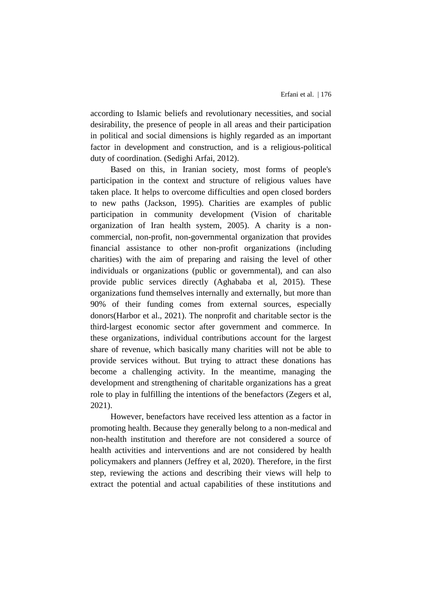according to Islamic beliefs and revolutionary necessities, and social desirability, the presence of people in all areas and their participation in political and social dimensions is highly regarded as an important factor in development and construction, and is a religious-political duty of coordination. (Sedighi Arfai, 2012).

Based on this, in Iranian society, most forms of people's participation in the context and structure of religious values have taken place. It helps to overcome difficulties and open closed borders to new paths (Jackson, 1995). Charities are examples of public participation in community development (Vision of charitable organization of Iran health system, 2005). A charity is a noncommercial, non-profit, non-governmental organization that provides financial assistance to other non-profit organizations (including charities) with the aim of preparing and raising the level of other individuals or organizations (public or governmental), and can also provide public services directly (Aghababa et al, 2015). These organizations fund themselves internally and externally, but more than 90% of their funding comes from external sources, especially donors(Harbor et al., 2021). The nonprofit and charitable sector is the third-largest economic sector after government and commerce. In these organizations, individual contributions account for the largest share of revenue, which basically many charities will not be able to provide services without. But trying to attract these donations has become a challenging activity. In the meantime, managing the development and strengthening of charitable organizations has a great role to play in fulfilling the intentions of the benefactors (Zegers et al, 2021).

However, benefactors have received less attention as a factor in promoting health. Because they generally belong to a non-medical and non-health institution and therefore are not considered a source of health activities and interventions and are not considered by health policymakers and planners (Jeffrey et al, 2020). Therefore, in the first step, reviewing the actions and describing their views will help to extract the potential and actual capabilities of these institutions and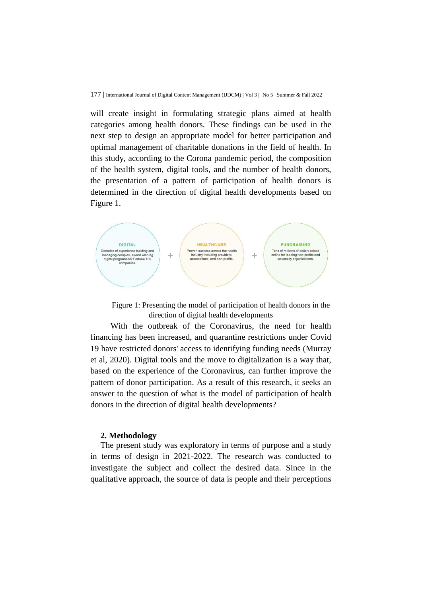will create insight in formulating strategic plans aimed at health categories among health donors. These findings can be used in the next step to design an appropriate model for better participation and optimal management of charitable donations in the field of health. In this study, according to the Corona pandemic period, the composition of the health system, digital tools, and the number of health donors, the presentation of a pattern of participation of health donors is determined in the direction of digital health developments based on Figure 1.



Figure 1: Presenting the model of participation of health donors in the direction of digital health developments

With the outbreak of the Coronavirus, the need for health financing has been increased, and quarantine restrictions under Covid 19 have restricted donors' access to identifying funding needs (Murray et al, 2020). Digital tools and the move to digitalization is a way that, based on the experience of the Coronavirus, can further improve the pattern of donor participation. As a result of this research, it seeks an answer to the question of what is the model of participation of health donors in the direction of digital health developments?

#### **2. Methodology**

The present study was exploratory in terms of purpose and a study in terms of design in 2021-2022. The research was conducted to investigate the subject and collect the desired data. Since in the qualitative approach, the source of data is people and their perceptions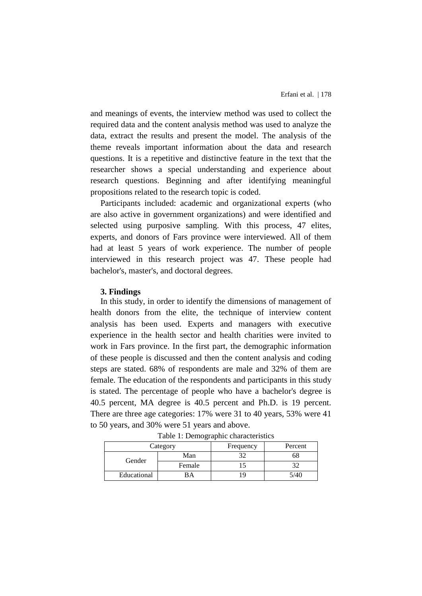and meanings of events, the interview method was used to collect the required data and the content analysis method was used to analyze the data, extract the results and present the model. The analysis of the theme reveals important information about the data and research questions. It is a repetitive and distinctive feature in the text that the researcher shows a special understanding and experience about research questions. Beginning and after identifying meaningful propositions related to the research topic is coded.

Participants included: academic and organizational experts (who are also active in government organizations) and were identified and selected using purposive sampling. With this process, 47 elites, experts, and donors of Fars province were interviewed. All of them had at least 5 years of work experience. The number of people interviewed in this research project was 47. These people had bachelor's, master's, and doctoral degrees.

#### **3. Findings**

In this study, in order to identify the dimensions of management of health donors from the elite, the technique of interview content analysis has been used. Experts and managers with executive experience in the health sector and health charities were invited to work in Fars province. In the first part, the demographic information of these people is discussed and then the content analysis and coding steps are stated. 68% of respondents are male and 32% of them are female. The education of the respondents and participants in this study is stated. The percentage of people who have a bachelor's degree is 40.5 percent, MA degree is 40.5 percent and Ph.D. is 19 percent. There are three age categories: 17% were 31 to 40 years, 53% were 41 to 50 years, and 30% were 51 years and above.

| Category    |        | Frequency | Percent |
|-------------|--------|-----------|---------|
| Gender      | Man    |           |         |
|             | Female |           |         |
| Educational |        |           |         |

Table 1: Demographic characteristics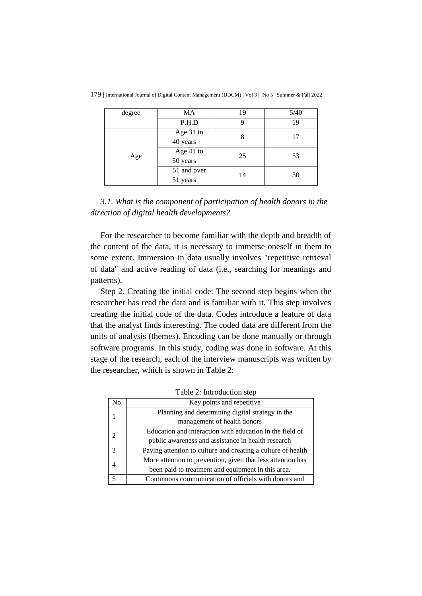| degree | <b>MA</b>               | 19 | 5/40 |
|--------|-------------------------|----|------|
|        | P.H.D                   | 9  | 19   |
|        | Age 31 to<br>40 years   | 8  | 17   |
| Age    | Age 41 to<br>50 years   | 25 | 53   |
|        | 51 and over<br>51 years | 14 | 30   |

179 | International Journal of Digital Content Management (IJDCM) | Vol 3 | No 5 | Summer & Fall 2022

*3.1. What is the component of participation of health donors in the direction of digital health developments?*

For the researcher to become familiar with the depth and breadth of the content of the data, it is necessary to immerse oneself in them to some extent. Immersion in data usually involves "repetitive retrieval of data" and active reading of data (i.e., searching for meanings and patterns).

Step 2. Creating the initial code: The second step begins when the researcher has read the data and is familiar with it. This step involves creating the initial code of the data. Codes introduce a feature of data that the analyst finds interesting. The coded data are different from the units of analysis (themes). Encoding can be done manually or through software programs. In this study, coding was done in software. At this stage of the research, each of the interview manuscripts was written by the researcher, which is shown in Table 2:

| No.                      | Key points and repetitive                                    |  |  |
|--------------------------|--------------------------------------------------------------|--|--|
|                          | Planning and determining digital strategy in the             |  |  |
|                          | management of health donors                                  |  |  |
| $\mathcal{L}$            | Education and interaction with education in the field of     |  |  |
|                          | public awareness and assistance in health research           |  |  |
| $\mathcal{R}$            | Paying attention to culture and creating a culture of health |  |  |
|                          | More attention to prevention, given that less attention has  |  |  |
|                          | been paid to treatment and equipment in this area.           |  |  |
| $\overline{\phantom{0}}$ | Continuous communication of officials with donors and        |  |  |

Table 2: Introduction step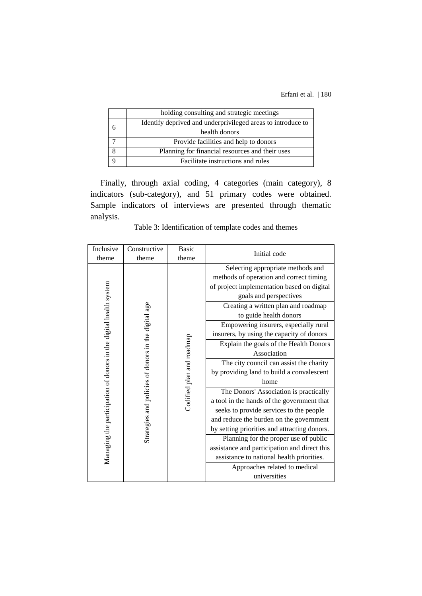| holding consulting and strategic meetings                   |  |  |
|-------------------------------------------------------------|--|--|
| Identify deprived and underprivileged areas to introduce to |  |  |
| health donors                                               |  |  |
| Provide facilities and help to donors                       |  |  |
| Planning for financial resources and their uses             |  |  |
| Facilitate instructions and rules                           |  |  |

Finally, through axial coding, 4 categories (main category), 8 indicators (sub-category), and 51 primary codes were obtained. Sample indicators of interviews are presented through thematic analysis.

| Inclusive                                                         | Constructive                                         | <b>Basic</b>              |                                                                                                                                                                                                                                                                                                                                                                                                                                                                                                                                                                                                                                                                    |
|-------------------------------------------------------------------|------------------------------------------------------|---------------------------|--------------------------------------------------------------------------------------------------------------------------------------------------------------------------------------------------------------------------------------------------------------------------------------------------------------------------------------------------------------------------------------------------------------------------------------------------------------------------------------------------------------------------------------------------------------------------------------------------------------------------------------------------------------------|
| theme                                                             | theme                                                | theme                     |                                                                                                                                                                                                                                                                                                                                                                                                                                                                                                                                                                                                                                                                    |
| Managing the participation of donors in the digital health system | Strategies and policies of donors in the digital age | Codified plan and roadmap | Initial code<br>Selecting appropriate methods and<br>methods of operation and correct timing<br>of project implementation based on digital<br>goals and perspectives<br>Creating a written plan and roadmap<br>to guide health donors<br>Empowering insurers, especially rural<br>insurers, by using the capacity of donors<br>Explain the goals of the Health Donors<br>Association<br>The city council can assist the charity<br>by providing land to build a convalescent<br>home<br>The Donors' Association is practically<br>a tool in the hands of the government that<br>seeks to provide services to the people<br>and reduce the burden on the government |
|                                                                   |                                                      |                           | by setting priorities and attracting donors.                                                                                                                                                                                                                                                                                                                                                                                                                                                                                                                                                                                                                       |
|                                                                   |                                                      |                           | Planning for the proper use of public                                                                                                                                                                                                                                                                                                                                                                                                                                                                                                                                                                                                                              |
|                                                                   |                                                      |                           | assistance and participation and direct this                                                                                                                                                                                                                                                                                                                                                                                                                                                                                                                                                                                                                       |
|                                                                   |                                                      |                           | assistance to national health priorities.                                                                                                                                                                                                                                                                                                                                                                                                                                                                                                                                                                                                                          |
|                                                                   |                                                      |                           | Approaches related to medical                                                                                                                                                                                                                                                                                                                                                                                                                                                                                                                                                                                                                                      |
|                                                                   |                                                      |                           | universities                                                                                                                                                                                                                                                                                                                                                                                                                                                                                                                                                                                                                                                       |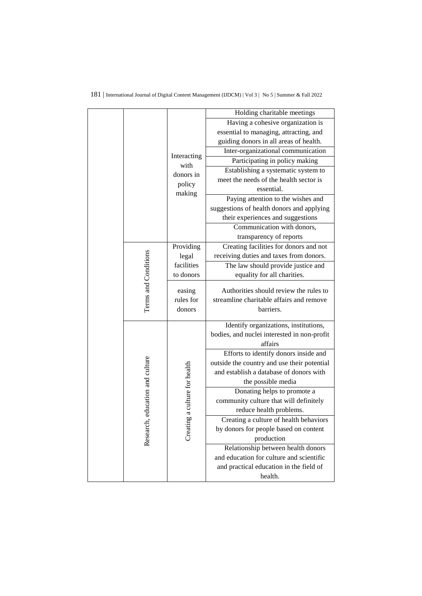|                          |                             |                               | Holding charitable meetings                                                                     |
|--------------------------|-----------------------------|-------------------------------|-------------------------------------------------------------------------------------------------|
|                          |                             |                               | Having a cohesive organization is                                                               |
|                          |                             |                               | essential to managing, attracting, and                                                          |
|                          |                             |                               | guiding donors in all areas of health.                                                          |
|                          |                             | Interacting                   | Inter-organizational communication                                                              |
|                          |                             | with                          | Participating in policy making                                                                  |
|                          |                             | donors in                     | Establishing a systematic system to                                                             |
|                          |                             | policy                        | meet the needs of the health sector is                                                          |
|                          |                             | making                        | essential.                                                                                      |
|                          |                             |                               | Paying attention to the wishes and                                                              |
|                          |                             |                               | suggestions of health donors and applying                                                       |
|                          |                             |                               | their experiences and suggestions                                                               |
|                          |                             |                               | Communication with donors,                                                                      |
|                          |                             |                               | transparency of reports                                                                         |
|                          |                             | Providing                     | Creating facilities for donors and not                                                          |
|                          |                             | legal                         | receiving duties and taxes from donors.                                                         |
|                          |                             | facilities                    | The law should provide justice and                                                              |
|                          |                             | to donors                     | equality for all charities.                                                                     |
|                          | Terms and Conditions        | easing<br>rules for<br>donors | Authorities should review the rules to<br>streamline charitable affairs and remove<br>barriers. |
|                          |                             |                               |                                                                                                 |
|                          |                             |                               | Identify organizations, institutions,                                                           |
|                          |                             |                               | bodies, and nuclei interested in non-profit                                                     |
|                          |                             |                               | affairs                                                                                         |
|                          |                             |                               | Efforts to identify donors inside and                                                           |
|                          |                             |                               | outside the country and use their potential                                                     |
|                          |                             |                               | and establish a database of donors with                                                         |
|                          |                             |                               | the possible media                                                                              |
| h, education and culture | Donating helps to promote a |                               |                                                                                                 |
|                          |                             |                               | community culture that will definitely                                                          |
|                          |                             | g a culture for health        | reduce health problems.                                                                         |
|                          |                             |                               | Creating a culture of health behaviors                                                          |
|                          | Researc                     | Creati                        | by donors for people based on content                                                           |
|                          |                             |                               | production                                                                                      |
|                          |                             |                               | Relationship between health donors<br>and education for culture and scientific                  |
|                          |                             |                               | and practical education in the field of                                                         |
|                          |                             |                               | health.                                                                                         |
|                          |                             |                               |                                                                                                 |

### 181 | International Journal of Digital Content Management (IJDCM) | Vol 3 | No 5 | Summer & Fall 2022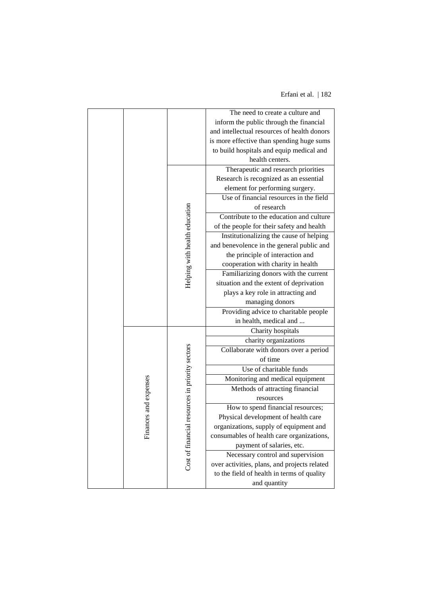|  |                           |                                                    | The need to create a culture and             |
|--|---------------------------|----------------------------------------------------|----------------------------------------------|
|  |                           |                                                    | inform the public through the financial      |
|  |                           |                                                    | and intellectual resources of health donors  |
|  |                           |                                                    | is more effective than spending huge sums    |
|  |                           |                                                    | to build hospitals and equip medical and     |
|  |                           |                                                    | health centers.                              |
|  |                           |                                                    | Therapeutic and research priorities          |
|  |                           |                                                    | Research is recognized as an essential       |
|  |                           |                                                    | element for performing surgery.              |
|  |                           |                                                    | Use of financial resources in the field      |
|  |                           |                                                    | of research                                  |
|  |                           |                                                    | Contribute to the education and culture      |
|  |                           |                                                    | of the people for their safety and health    |
|  |                           |                                                    | Institutionalizing the cause of helping      |
|  |                           |                                                    | and benevolence in the general public and    |
|  |                           |                                                    | the principle of interaction and             |
|  |                           |                                                    | cooperation with charity in health           |
|  |                           | Helping with health education                      | Familiarizing donors with the current        |
|  |                           |                                                    | situation and the extent of deprivation      |
|  |                           |                                                    | plays a key role in attracting and           |
|  |                           |                                                    | managing donors                              |
|  |                           |                                                    | Providing advice to charitable people        |
|  |                           |                                                    | in health, medical and                       |
|  |                           |                                                    | Charity hospitals                            |
|  |                           |                                                    | charity organizations                        |
|  |                           |                                                    | Collaborate with donors over a period        |
|  | ces and expenses<br>Finar | resources in priority sectors<br>Cost of financial | of time                                      |
|  |                           |                                                    | Use of charitable funds                      |
|  |                           |                                                    | Monitoring and medical equipment             |
|  |                           |                                                    | Methods of attracting financial              |
|  |                           |                                                    | resources                                    |
|  |                           |                                                    | How to spend financial resources;            |
|  |                           |                                                    | Physical development of health care          |
|  |                           |                                                    | organizations, supply of equipment and       |
|  |                           |                                                    | consumables of health care organizations,    |
|  |                           |                                                    | payment of salaries, etc.                    |
|  |                           |                                                    | Necessary control and supervision            |
|  |                           |                                                    | over activities, plans, and projects related |
|  |                           |                                                    | to the field of health in terms of quality   |
|  |                           |                                                    | and quantity                                 |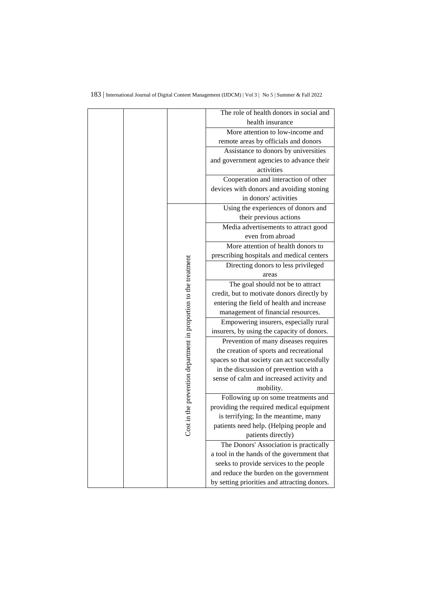|                                                             | The role of health donors in social and      |
|-------------------------------------------------------------|----------------------------------------------|
|                                                             | health insurance                             |
|                                                             | More attention to low-income and             |
|                                                             | remote areas by officials and donors         |
|                                                             | Assistance to donors by universities         |
|                                                             | and government agencies to advance their     |
|                                                             | activities                                   |
|                                                             | Cooperation and interaction of other         |
|                                                             | devices with donors and avoiding stoning     |
|                                                             | in donors' activities                        |
|                                                             | Using the experiences of donors and          |
|                                                             | their previous actions                       |
|                                                             | Media advertisements to attract good         |
|                                                             | even from abroad                             |
|                                                             | More attention of health donors to           |
|                                                             | prescribing hospitals and medical centers    |
|                                                             | Directing donors to less privileged          |
|                                                             | areas                                        |
| in the prevention department in proportion to the treatment | The goal should not be to attract            |
|                                                             | credit, but to motivate donors directly by   |
|                                                             | entering the field of health and increase    |
|                                                             | management of financial resources.           |
|                                                             | Empowering insurers, especially rural        |
|                                                             | insurers, by using the capacity of donors.   |
|                                                             | Prevention of many diseases requires         |
|                                                             | the creation of sports and recreational      |
|                                                             | spaces so that society can act successfully  |
|                                                             | in the discussion of prevention with a       |
|                                                             | sense of calm and increased activity and     |
|                                                             | mobility.                                    |
|                                                             | Following up on some treatments and          |
|                                                             | providing the required medical equipment     |
|                                                             | is terrifying; In the meantime, many         |
|                                                             | patients need help. (Helping people and      |
| Š                                                           | patients directly)                           |
|                                                             | The Donors' Association is practically       |
|                                                             | a tool in the hands of the government that   |
|                                                             | seeks to provide services to the people      |
|                                                             | and reduce the burden on the government      |
|                                                             | by setting priorities and attracting donors. |

### 183 | International Journal of Digital Content Management (IJDCM) | Vol 3 | No 5 | Summer & Fall 2022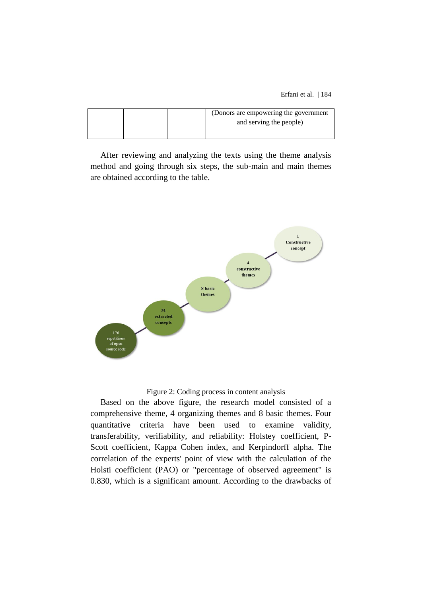|  |  | (Donors are empowering the government) |
|--|--|----------------------------------------|
|  |  | and serving the people)                |
|  |  |                                        |

After reviewing and analyzing the texts using the theme analysis method and going through six steps, the sub-main and main themes are obtained according to the table.



#### Figure 2: Coding process in content analysis

Based on the above figure, the research model consisted of a comprehensive theme, 4 organizing themes and 8 basic themes. Four quantitative criteria have been used to examine validity, transferability, verifiability, and reliability: Holstey coefficient, P-Scott coefficient, Kappa Cohen index, and Kerpindorff alpha. The correlation of the experts' point of view with the calculation of the Holsti coefficient (PAO) or "percentage of observed agreement" is 0.830, which is a significant amount. According to the drawbacks of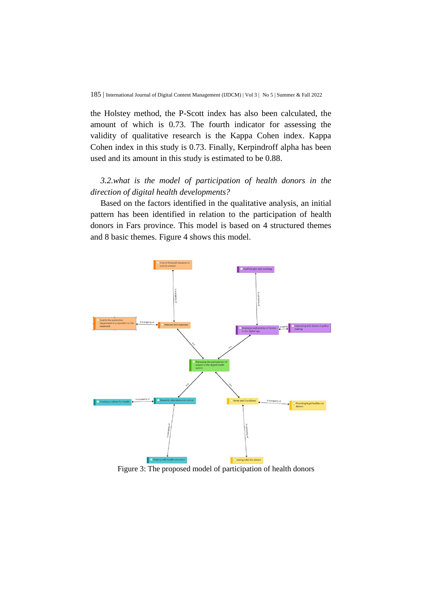the Holstey method, the P-Scott index has also been calculated, the amount of which is 0.73. The fourth indicator for assessing the validity of qualitative research is the Kappa Cohen index. Kappa Cohen index in this study is 0.73. Finally, Kerpindroff alpha has been used and its amount in this study is estimated to be 0.88.

## *3.2.what is the model of participation of health donors in the direction of digital health developments?*

Based on the factors identified in the qualitative analysis, an initial pattern has been identified in relation to the participation of health donors in Fars province. This model is based on 4 structured themes and 8 basic themes. Figure 4 shows this model.



Figure 3: The proposed model of participation of health donors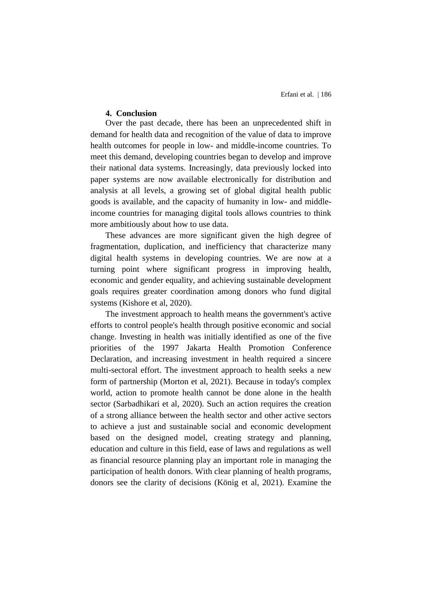#### **4. Conclusion**

Over the past decade, there has been an unprecedented shift in demand for health data and recognition of the value of data to improve health outcomes for people in low- and middle-income countries. To meet this demand, developing countries began to develop and improve their national data systems. Increasingly, data previously locked into paper systems are now available electronically for distribution and analysis at all levels, a growing set of global digital health public goods is available, and the capacity of humanity in low- and middleincome countries for managing digital tools allows countries to think more ambitiously about how to use data.

These advances are more significant given the high degree of fragmentation, duplication, and inefficiency that characterize many digital health systems in developing countries. We are now at a turning point where significant progress in improving health, economic and gender equality, and achieving sustainable development goals requires greater coordination among donors who fund digital systems (Kishore et al, 2020).

The investment approach to health means the government's active efforts to control people's health through positive economic and social change. Investing in health was initially identified as one of the five priorities of the 1997 Jakarta Health Promotion Conference Declaration, and increasing investment in health required a sincere multi-sectoral effort. The investment approach to health seeks a new form of partnership (Morton et al, 2021). Because in today's complex world, action to promote health cannot be done alone in the health sector (Sarbadhikari et al, 2020). Such an action requires the creation of a strong alliance between the health sector and other active sectors to achieve a just and sustainable social and economic development based on the designed model, creating strategy and planning, education and culture in this field, ease of laws and regulations as well as financial resource planning play an important role in managing the participation of health donors. With clear planning of health programs, donors see the clarity of decisions (König et al, 2021). Examine the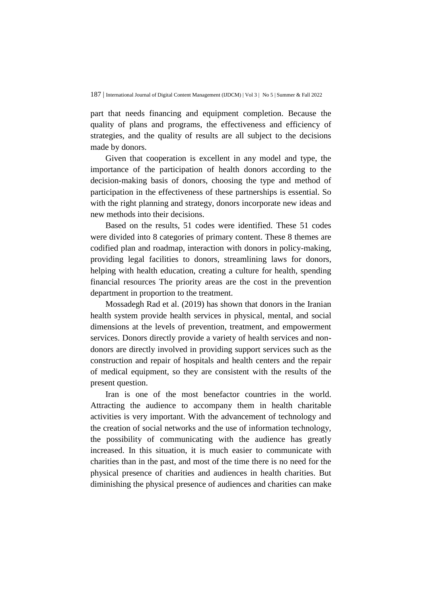part that needs financing and equipment completion. Because the quality of plans and programs, the effectiveness and efficiency of strategies, and the quality of results are all subject to the decisions made by donors.

Given that cooperation is excellent in any model and type, the importance of the participation of health donors according to the decision-making basis of donors, choosing the type and method of participation in the effectiveness of these partnerships is essential. So with the right planning and strategy, donors incorporate new ideas and new methods into their decisions.

Based on the results, 51 codes were identified. These 51 codes were divided into 8 categories of primary content. These 8 themes are codified plan and roadmap, interaction with donors in policy-making, providing legal facilities to donors, streamlining laws for donors, helping with health education, creating a culture for health, spending financial resources The priority areas are the cost in the prevention department in proportion to the treatment.

Mossadegh Rad et al. (2019) has shown that donors in the Iranian health system provide health services in physical, mental, and social dimensions at the levels of prevention, treatment, and empowerment services. Donors directly provide a variety of health services and nondonors are directly involved in providing support services such as the construction and repair of hospitals and health centers and the repair of medical equipment, so they are consistent with the results of the present question.

Iran is one of the most benefactor countries in the world. Attracting the audience to accompany them in health charitable activities is very important. With the advancement of technology and the creation of social networks and the use of information technology, the possibility of communicating with the audience has greatly increased. In this situation, it is much easier to communicate with charities than in the past, and most of the time there is no need for the physical presence of charities and audiences in health charities. But diminishing the physical presence of audiences and charities can make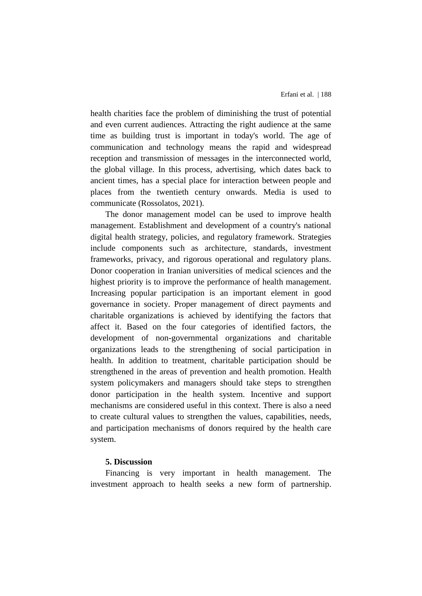health charities face the problem of diminishing the trust of potential and even current audiences. Attracting the right audience at the same time as building trust is important in today's world. The age of communication and technology means the rapid and widespread reception and transmission of messages in the interconnected world, the global village. In this process, advertising, which dates back to ancient times, has a special place for interaction between people and places from the twentieth century onwards. Media is used to communicate (Rossolatos, 2021).

The donor management model can be used to improve health management. Establishment and development of a country's national digital health strategy, policies, and regulatory framework. Strategies include components such as architecture, standards, investment frameworks, privacy, and rigorous operational and regulatory plans. Donor cooperation in Iranian universities of medical sciences and the highest priority is to improve the performance of health management. Increasing popular participation is an important element in good governance in society. Proper management of direct payments and charitable organizations is achieved by identifying the factors that affect it. Based on the four categories of identified factors, the development of non-governmental organizations and charitable organizations leads to the strengthening of social participation in health. In addition to treatment, charitable participation should be strengthened in the areas of prevention and health promotion. Health system policymakers and managers should take steps to strengthen donor participation in the health system. Incentive and support mechanisms are considered useful in this context. There is also a need to create cultural values to strengthen the values, capabilities, needs, and participation mechanisms of donors required by the health care system.

## **5. Discussion**

Financing is very important in health management. The investment approach to health seeks a new form of partnership.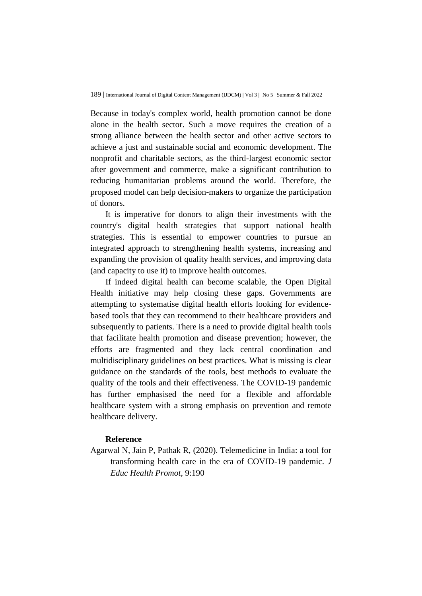Because in today's complex world, health promotion cannot be done alone in the health sector. Such a move requires the creation of a strong alliance between the health sector and other active sectors to achieve a just and sustainable social and economic development. The nonprofit and charitable sectors, as the third-largest economic sector after government and commerce, make a significant contribution to reducing humanitarian problems around the world. Therefore, the proposed model can help decision-makers to organize the participation of donors.

It is imperative for donors to align their investments with the country's digital health strategies that support national health strategies. This is essential to empower countries to pursue an integrated approach to strengthening health systems, increasing and expanding the provision of quality health services, and improving data (and capacity to use it) to improve health outcomes.

If indeed digital health can become scalable, the Open Digital Health initiative may help closing these gaps. Governments are attempting to systematise digital health efforts looking for evidencebased tools that they can recommend to their healthcare providers and subsequently to patients. There is a need to provide digital health tools that facilitate health promotion and disease prevention; however, the efforts are fragmented and they lack central coordination and multidisciplinary guidelines on best practices. What is missing is clear guidance on the standards of the tools, best methods to evaluate the quality of the tools and their effectiveness. The COVID-19 pandemic has further emphasised the need for a flexible and affordable healthcare system with a strong emphasis on prevention and remote healthcare delivery.

#### **Reference**

Agarwal N, Jain P, Pathak R, (2020). Telemedicine in India: a tool for transforming health care in the era of COVID-19 pandemic. *J Educ Health Promot*, 9:190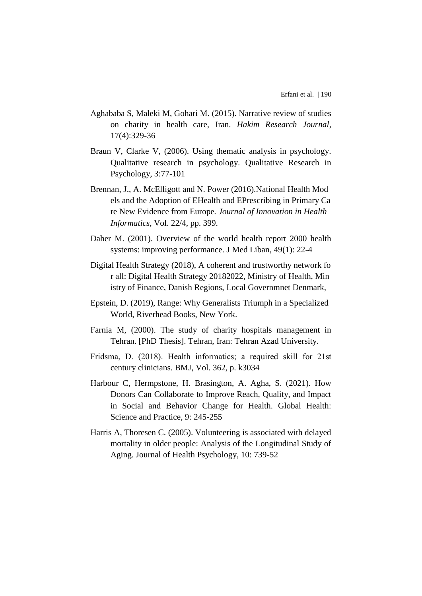- Aghababa S, Maleki M, Gohari M. (2015). Narrative review of studies on charity in health care, Iran. *Hakim Research Journal*, 17(4):329-36
- Braun V, Clarke V, (2006). Using thematic analysis in psychology. Qualitative research in psychology. Qualitative Research in Psychology, 3:77-101
- Brennan, J., A. McElligott and N. Power (2016).National Health Mod els and the Adoption of EHealth and EPrescribing in Primary Ca re New Evidence from Europe*. Journal of Innovation in Health Informatics*, Vol. 22/4, pp. 399.
- Daher M. (2001). Overview of the world health report 2000 health systems: improving performance. J Med Liban, 49(1): 22-4
- Digital Health Strategy (2018), A coherent and trustworthy network fo r all: Digital Health Strategy 20182022, Ministry of Health, Min istry of Finance, Danish Regions, Local Governmnet Denmark,
- Epstein, D. (2019), Range: Why Generalists Triumph in a Specialized World, Riverhead Books, New York.
- Farnia M, (2000). The study of charity hospitals management in Tehran. [PhD Thesis]. Tehran, Iran: Tehran Azad University.
- Fridsma, D. (2018). Health informatics; a required skill for 21st century clinicians. BMJ, Vol. 362, p. k3034
- Harbour C, Hermpstone, H. Brasington, A. Agha, S. (2021). How Donors Can Collaborate to Improve Reach, Quality, and Impact in Social and Behavior Change for Health. Global Health: Science and Practice, 9: 245-255
- Harris A, Thoresen C. (2005). Volunteering is associated with delayed mortality in older people: Analysis of the Longitudinal Study of Aging. Journal of Health Psychology, 10: 739-52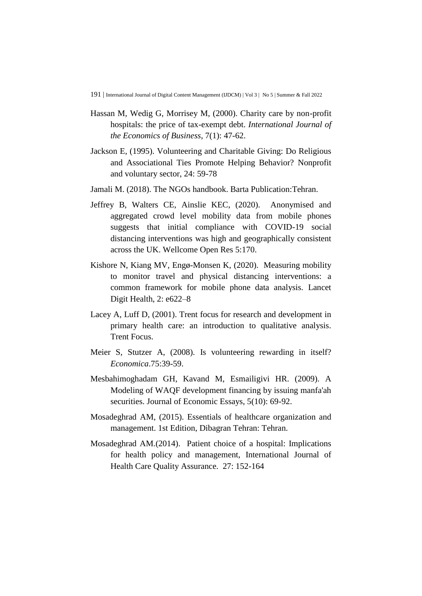- Hassan M, Wedig G, Morrisey M, (2000). Charity care by non-profit hospitals: the price of tax-exempt debt. *International Journal of the Economics of Business*, 7(1): 47-62.
- Jackson E, (1995). Volunteering and Charitable Giving: Do Religious and Associational Ties Promote Helping Behavior? Nonprofit and voluntary sector, 24: 59-78
- Jamali M. (2018). The NGOs handbook. Barta Publication:Tehran.
- Jeffrey B, Walters CE, Ainslie KEC, (2020). Anonymised and aggregated crowd level mobility data from mobile phones suggests that initial compliance with COVID-19 social distancing interventions was high and geographically consistent across the UK. Wellcome Open Res 5:170.
- Kishore N, Kiang MV, Engø-Monsen K, (2020). Measuring mobility to monitor travel and physical distancing interventions: a common framework for mobile phone data analysis. Lancet Digit Health, 2: e622–8
- Lacey A, Luff D, (2001). Trent focus for research and development in primary health care: an introduction to qualitative analysis. Trent Focus.
- Meier S, Stutzer A, (2008). Is volunteering rewarding in itself? *Economica*.75:39-59.
- Mesbahimoghadam GH, Kavand M, Esmailigivi HR. (2009). A Modeling of WAQF development financing by issuing manfa'ah securities. Journal of Economic Essays, 5(10): 69-92.
- Mosadeghrad AM, (2015). Essentials of healthcare organization and management. 1st Edition, Dibagran Tehran: Tehran.
- Mosadeghrad AM.(2014). Patient choice of a hospital: Implications for health policy and management, International Journal of Health Care Quality Assurance. 27: 152-164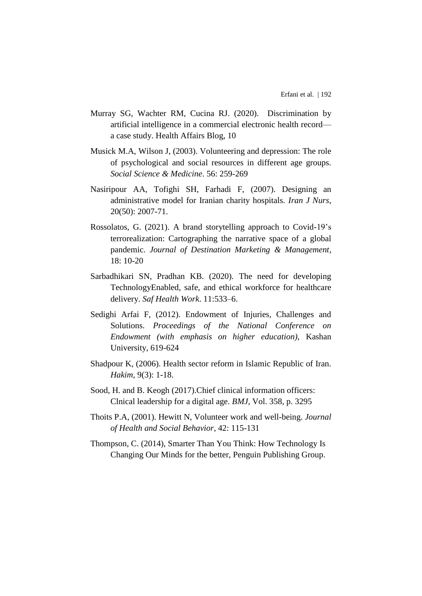- Murray SG, Wachter RM, Cucina RJ. (2020). Discrimination by artificial intelligence in a commercial electronic health record a case study. Health Affairs Blog, 10
- Musick M.A, Wilson J, (2003). Volunteering and depression: The role of psychological and social resources in different age groups. *Social Science & Medicine*. 56: 259-269
- Nasiripour AA, Tofighi SH, Farhadi F, (2007). Designing an administrative model for Iranian charity hospitals. *Iran J Nurs*, 20(50): 2007-71.
- Rossolatos, G. (2021). A brand storytelling approach to Covid-19's terrorealization: Cartographing the narrative space of a global pandemic. *Journal of Destination Marketing & Management*,  $18: 10-20$
- Sarbadhikari SN, Pradhan KB. (2020). The need for developing TechnologyEnabled, safe, and ethical workforce for healthcare delivery. *Saf Health Work*. 11:533–6.
- Sedighi Arfai F, (2012). Endowment of Injuries, Challenges and Solutions. *Proceedings of the National Conference on Endowment (with emphasis on higher education)*, Kashan University, 619-624
- Shadpour K, (2006). Health sector reform in Islamic Republic of Iran. *Hakim*, 9(3): 1-18.
- Sood, H. and B. Keogh (2017).Chief clinical information officers: Clnical leadership for a digital age. *BMJ*, Vol. 358, p. 3295
- Thoits P.A, (2001). Hewitt N, Volunteer work and well-being. *Journal of Health and Social Behavior*, 42: 115-131
- Thompson, C. (2014), Smarter Than You Think: How Technology Is Changing Our Minds for the better, Penguin Publishing Group.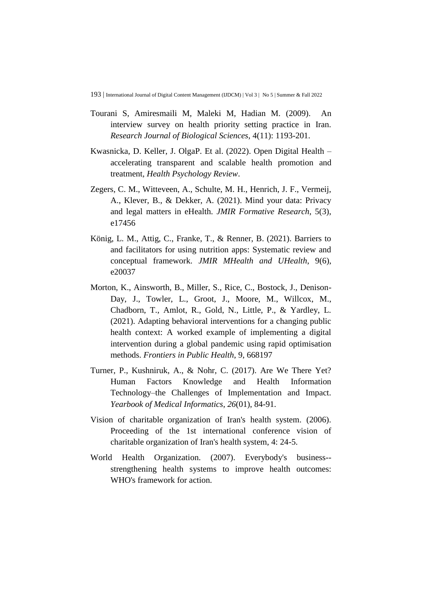- Tourani S, Amiresmaili M, Maleki M, Hadian M. (2009). An interview survey on health priority setting practice in Iran. *Research Journal of Biological Sciences*, 4(11): 1193-201.
- Kwasnicka, D. Keller, J. OlgaP. Et al. (2022). Open Digital Health accelerating transparent and scalable health promotion and treatment*, Health Psychology Review*.
- Zegers, C. M., Witteveen, A., Schulte, M. H., Henrich, J. F., Vermeij, A., Klever, B., & Dekker, A. (2021). Mind your data: Privacy and legal matters in eHealth. *JMIR Formative Research*, 5(3), e17456
- König, L. M., Attig, C., Franke, T., & Renner, B. (2021). Barriers to and facilitators for using nutrition apps: Systematic review and conceptual framework. *JMIR MHealth and UHealth*, 9(6), e20037
- Morton, K., Ainsworth, B., Miller, S., Rice, C., Bostock, J., Denison-Day, J., Towler, L., Groot, J., Moore, M., Willcox, M., Chadborn, T., Amlot, R., Gold, N., Little, P., & Yardley, L. (2021). Adapting behavioral interventions for a changing public health context: A worked example of implementing a digital intervention during a global pandemic using rapid optimisation methods. *Frontiers in Public Health*, 9, 668197
- Turner, P., Kushniruk, A., & Nohr, C. (2017). Are We There Yet? Human Factors Knowledge and Health Information Technology–the Challenges of Implementation and Impact. *Yearbook of Medical Informatics*, *26*(01), 84-91.
- Vision of charitable organization of Iran's health system. (2006). Proceeding of the 1st international conference vision of charitable organization of Iran's health system, 4: 24-5.
- World Health Organization. (2007). Everybody's business- strengthening health systems to improve health outcomes: WHO's framework for action.